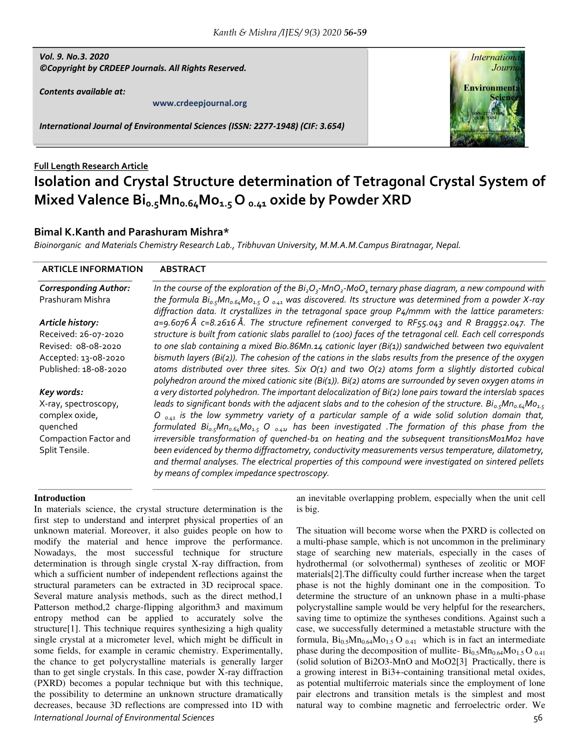## *Vol. 9. No.3. 2020 ©Copyright by CRDEEP Journals. All Rights Reserved.*

*Contents available at:* 

**www.crdeepjournal.org**

*International Journal of Environmental Sciences (ISSN: 2277-1948) (CIF: 3.654)* 



# **Full Length Research Article Isolation and Crystal Structure determination of Tetragonal Crystal System of Mixed Valence Bi0.5Mn0.64Mo1.5 O 0.41 oxide by Powder XRD**

# **Bimal K.Kanth and Parashuram Mishra\***

*Bioinorganic and Materials Chemistry Research Lab., Tribhuvan University, M.M.A.M.Campus Biratnagar, Nepal.* 

| <b>ARTICLE INFORMATION</b>   | <b>ABSTRACT</b>                                                                                                                                                                                                             |
|------------------------------|-----------------------------------------------------------------------------------------------------------------------------------------------------------------------------------------------------------------------------|
| <b>Corresponding Author:</b> | In the course of the exploration of the $Bi_2O_3$ -MnO <sub>2</sub> -MoO <sub>4</sub> ternary phase diagram, a new compound with                                                                                            |
| Prashuram Mishra             | the formula $Bi_{o.5}Mn_{o.64}Mo_{1.5}$ O $_{o.41}$ was discovered. Its structure was determined from a powder X-ray<br>diffraction data. It crystallizes in the tetragonal space group P4/mmm with the lattice parameters: |
| Article history:             | $a = 9.6$ o76 Å c=8.2616 Å. The structure refinement converged to RF55.043 and R Bragg52.047. The                                                                                                                           |
| Received: 26-07-2020         | structure is built from cationic slabs parallel to (100) faces of the tetragonal cell. Each cell corresponds                                                                                                                |
| Revised: 08-08-2020          | to one slab containing a mixed Bio.86Mn.14 cationic layer (Bi(1)) sandwiched between two equivalent                                                                                                                         |
| Accepted: 13-08-2020         | bismuth layers (Bi(2)). The cohesion of the cations in the slabs results from the presence of the oxygen                                                                                                                    |
| Published: 18-08-2020        | atoms distributed over three sites. Six $O(1)$ and two $O(2)$ atoms form a slightly distorted cubical<br>polyhedron around the mixed cationic site (Bi(1)). Bi(2) atoms are surrounded by seven oxygen atoms in             |
| Key words:                   | a very distorted polyhedron. The important delocalization of Bi(2) lone pairs toward the interslab spaces                                                                                                                   |
| X-ray, spectroscopy,         | leads to significant bonds with the adjacent slabs and to the cohesion of the structure. $Bi_{\alpha}S Mn_{\alpha}S_{\alpha}M\alpha_{1.5}$                                                                                  |
| complex oxide,               | O $_{0.41}$ is the low symmetry variety of a particular sample of a wide solid solution domain that,                                                                                                                        |
| quenched                     | formulated $Bi_{o.5}Mn_{o.64}Mo_{1.5}$ O $_{o.44}$ , has been investigated. The formation of this phase from the                                                                                                            |
| Compaction Factor and        | irreversible transformation of quenched-b1 on heating and the subsequent transitionsMo1Mo2 have                                                                                                                             |
| Split Tensile.               | been evidenced by thermo diffractometry, conductivity measurements versus temperature, dilatometry,                                                                                                                         |
|                              | and thermal analyses. The electrical properties of this compound were investigated on sintered pellets                                                                                                                      |
|                              | by means of complex impedance spectroscopy.                                                                                                                                                                                 |

### **Introduction**

*International Journal of Environmental Sciences* 56 In materials science, the crystal structure determination is the first step to understand and interpret physical properties of an unknown material. Moreover, it also guides people on how to modify the material and hence improve the performance. Nowadays, the most successful technique for structure determination is through single crystal X-ray diffraction, from which a sufficient number of independent reflections against the structural parameters can be extracted in 3D reciprocal space. Several mature analysis methods, such as the direct method,1 Patterson method,2 charge-flipping algorithm3 and maximum entropy method can be applied to accurately solve the structure[1]. This technique requires synthesizing a high quality single crystal at a micrometer level, which might be difficult in some fields, for example in ceramic chemistry. Experimentally, the chance to get polycrystalline materials is generally larger than to get single crystals. In this case, powder X-ray diffraction (PXRD) becomes a popular technique but with this technique, the possibility to determine an unknown structure dramatically decreases, because 3D reflections are compressed into 1D with

an inevitable overlapping problem, especially when the unit cell is big.

The situation will become worse when the PXRD is collected on a multi-phase sample, which is not uncommon in the preliminary stage of searching new materials, especially in the cases of hydrothermal (or solvothermal) syntheses of zeolitic or MOF materials[2].The difficulty could further increase when the target phase is not the highly dominant one in the composition. To determine the structure of an unknown phase in a multi-phase polycrystalline sample would be very helpful for the researchers, saving time to optimize the syntheses conditions. Against such a case, we successfully determined a metastable structure with the formula,  $Bi_{0.5}Mn_{0.64}Mo_{1.5}O_{0.41}$  which is in fact an intermediate phase during the decomposition of mullite-  $Bi_{0.5}Mn_{0.64}Mo_{1.5}O_{0.41}$ (solid solution of Bi2O3-MnO and MoO2[3] Practically, there is a growing interest in Bi3+-containing transitional metal oxides, as potential multiferroic materials since the employment of lone pair electrons and transition metals is the simplest and most natural way to combine magnetic and ferroelectric order. We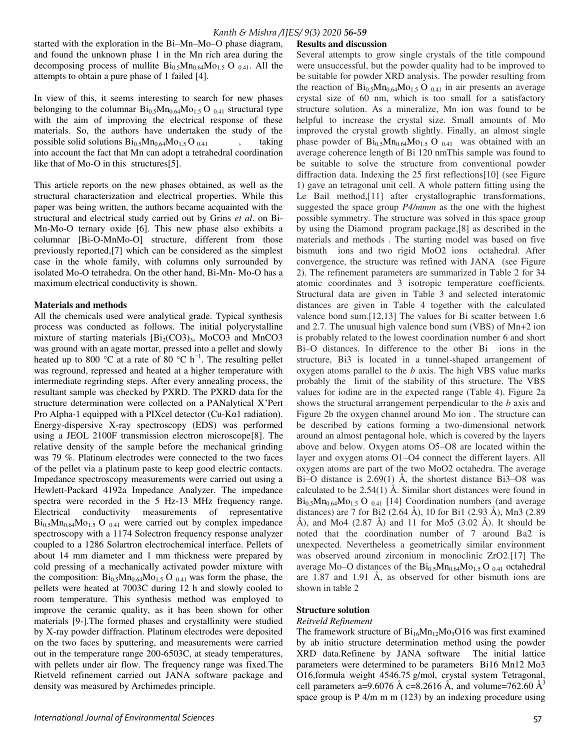started with the exploration in the Bi–Mn–Mo–O phase diagram, and found the unknown phase 1 in the Mn rich area during the decomposing process of mullite  $Bi_{0.5}Mn_{0.64}Mo_{1.5}$  O  $_{0.41}$ . All the attempts to obtain a pure phase of 1 failed [4].

In view of this, it seems interesting to search for new phases belonging to the columnar  $\text{Bi}_{0.5}\text{Mn}_{0.64}\text{Mo}_{1.5}$  O  $_{0.41}$  structural type with the aim of improving the electrical response of these materials. So, the authors have undertaken the study of the possible solid solutions  $Bi_{0.5}Mn_{0.64}Mo_{1.5}O_{0.41}$ , taking into account the fact that Mn can adopt a tetrahedral coordination like that of Mo-O in this structures[5].

This article reports on the new phases obtained, as well as the structural characterization and electrical properties. While this paper was being written, the authors became acquainted with the structural and electrical study carried out by Grins *et al*. on Bi-Mn-Mo-O ternary oxide [6]. This new phase also exhibits a columnar [Bi-O-MnMo-O] structure, different from those previously reported,[7] which can be considered as the simplest case in the whole family, with columns only surrounded by isolated Mo-O tetrahedra. On the other hand, Bi-Mn- Mo-O has a maximum electrical conductivity is shown.

#### **Materials and methods**

All the chemicals used were analytical grade. Typical synthesis process was conducted as follows. The initial polycrystalline mixture of starting materials  $[Bi_2(CO3)_3, MoCO3$  and MnCO3 was ground with an agate mortar, pressed into a pellet and slowly heated up to 800 °C at a rate of 80 °C h<sup>-1</sup>. The resulting pellet was reground, repressed and heated at a higher temperature with intermediate regrinding steps. After every annealing process, the resultant sample was checked by PXRD. The PXRD data for the structure determination were collected on a PANalytical X'Pert Pro Alpha-1 equipped with a PIXcel detector (Cu-Kα1 radiation). Energy-dispersive X-ray spectroscopy (EDS) was performed using a JEOL 2100F transmission electron microscope[8]. The relative density of the sample before the mechanical grinding was 79 %. Platinum electrodes were connected to the two faces of the pellet via a platinum paste to keep good electric contacts. Impedance spectroscopy measurements were carried out using a Hewlett-Packard 4192a Impedance Analyzer. The impedance spectra were recorded in the 5 Hz-13 MHz frequency range. Electrical conductivity measurements of representative  $\rm{Bi}_{0.5}Mn_{0.64}Mo_{1.5}$  O  $_{0.41}$  were carried out by complex impedance spectroscopy with a 1174 Solectron frequency response analyzer coupled to a 1286 Solartron electrochemical interface. Pellets of about 14 mm diameter and 1 mm thickness were prepared by cold pressing of a mechanically activated powder mixture with the composition:  $Bi_{0.5}Mn_{0.64}Mo_{1.5}O_{0.41}$  was form the phase, the pellets were heated at 7003C during 12 h and slowly cooled to room temperature. This synthesis method was employed to improve the ceramic quality, as it has been shown for other materials [9-].The formed phases and crystallinity were studied by X-ray powder diffraction. Platinum electrodes were deposited on the two faces by sputtering, and measurements were carried out in the temperature range 200-6503C, at steady temperatures, with pellets under air flow. The frequency range was fixed.The Rietveld refinement carried out JANA software package and density was measured by Archimedes principle.

Several attempts to grow single crystals of the title compound were unsuccessful, but the powder quality had to be improved to be suitable for powder XRD analysis. The powder resulting from the reaction of  $\rm{Bi}_{0.5}Mn_{0.64}Mo_{1.5}O_{0.41}$  in air presents an average crystal size of 60 nm, which is too small for a satisfactory structure solution. As a mineralize, Mn ion was found to be helpful to increase the crystal size. Small amounts of Mo improved the crystal growth slightly. Finally, an almost single phase powder of  $Bi_{0.5}Mn_{0.64}Mo_{1.5}$  O  $_{0.41}$  was obtained with an average coherence length of Bi 120 nmThis sample was found to be suitable to solve the structure from conventional powder diffraction data. Indexing the 25 first reflections[10] (see Figure 1) gave an tetragonal unit cell. A whole pattern fitting using the Le Bail method,[11] after crystallographic transformations, suggested the space group *P4/mmm* as the one with the highest possible symmetry. The structure was solved in this space group by using the Diamond program package,[8] as described in the materials and methods . The starting model was based on five bismuth ions and two rigid MoO2 ions octahedral. After convergence, the structure was refined with JANA (see Figure 2). The refinement parameters are summarized in Table 2 for 34 atomic coordinates and 3 isotropic temperature coefficients. Structural data are given in Table 3 and selected interatomic distances are given in Table 4 together with the calculated valence bond sum.[12,13] The values for Bi scatter between 1.6 and 2.7. The unusual high valence bond sum (VBS) of Mn+2 ion is probably related to the lowest coordination number 6 and short Bi–O distances. In difference to the other Bi ions in the structure, Bi3 is located in a tunnel-shaped arrangement of oxygen atoms parallel to the *b* axis. The high VBS value marks probably the limit of the stability of this structure. The VBS values for iodine are in the expected range (Table 4). Figure 2a shows the structural arrangement perpendicular to the *b* axis and Figure 2b the oxygen channel around Mo ion . The structure can be described by cations forming a two-dimensional network around an almost pentagonal hole, which is covered by the layers above and below. Oxygen atoms O5–O8 are located within the layer and oxygen atoms O1–O4 connect the different layers. All oxygen atoms are part of the two MoO2 octahedra. The average Bi–O distance is 2.69(1) Å, the shortest distance Bi3–O8 was calculated to be 2.54(1) Å. Similar short distances were found in  $Bi_{0.5}Mn_{0.64}Mo_{1.5}$  O  $_{0.41}$  [14] Coordination numbers (and average distances) are 7 for Bi2 (2.64 Å), 10 for Bi1 (2.93 Å), Mn3 (2.89 Å), and Mo4  $(2.87 \text{ Å})$  and 11 for Mo5  $(3.02 \text{ Å})$ . It should be noted that the coordination number of 7 around Ba2 is unexpected. Nevertheless a geometrically similar environment was observed around zirconium in monoclinic ZrO2.[17] The average Mo–O distances of the  $Bi_{0.5}Mn_{0.64}Mo_{1.5}O_{0.41}$  octahedral are 1.87 and 1.91 Å, as observed for other bismuth ions are shown in table 2

## **Structure solution**

#### *Reitveld Refinement*

The framework structure of  $Bi_{16}Mn_{12}Mo_3O16$  was first examined by ab initio structure determination method using the powder XRD data.Refinene by JANA software The initial lattice parameters were determined to be parameters Bi16 Mn12 Mo3 O16,formula weight 4546.75 g/mol, crystal system Tetragonal, cell parameters a=9.6076 Å c=8.2616 Å, and volume=762.60 Å<sup>3</sup> space group is P 4/m m m (123) by an indexing procedure using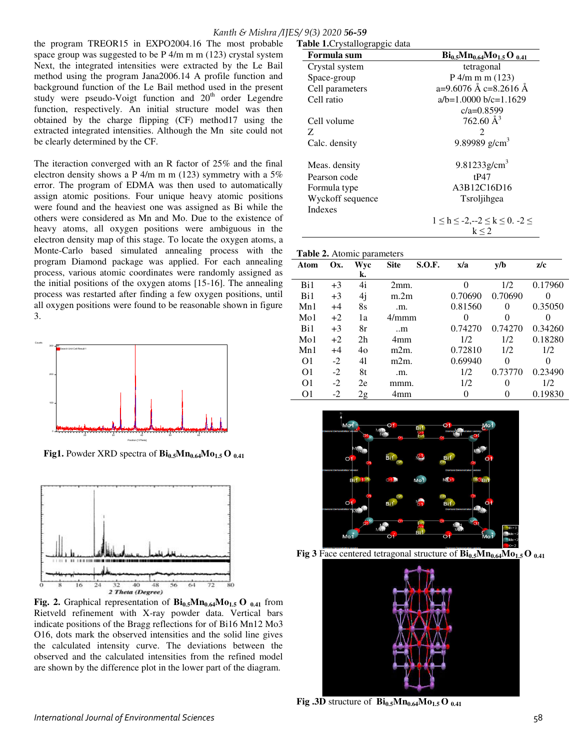# *Kanth & Mishra /IJES/ 9(3) 2020 56-59*

the program TREOR15 in EXPO2004.16 The most probable space group was suggested to be P 4/m m m (123) crystal system Next, the integrated intensities were extracted by the Le Bail method using the program Jana2006.14 A profile function and background function of the Le Bail method used in the present study were pseudo-Voigt function and  $20<sup>th</sup>$  order Legendre function, respectively. An initial structure model was then obtained by the charge flipping (CF) method17 using the extracted integrated intensities. Although the Mn site could not be clearly determined by the CF.

The iteraction converged with an R factor of 25% and the final electron density shows a P  $4/m$  m m (123) symmetry with a 5% error. The program of EDMA was then used to automatically assign atomic positions. Four unique heavy atomic positions were found and the heaviest one was assigned as Bi while the others were considered as Mn and Mo. Due to the existence of heavy atoms, all oxygen positions were ambiguous in the electron density map of this stage. To locate the oxygen atoms, a Monte-Carlo based simulated annealing process with the program Diamond package was applied. For each annealing process, various atomic coordinates were randomly assigned as the initial positions of the oxygen atoms [15-16]. The annealing process was restarted after finding a few oxygen positions, until all oxygen positions were found to be reasonable shown in figure 3.



 **Fig1.** Powder XRD spectra of  $\text{Bi}_{0.5}\text{Mn}_{0.64}\text{Mo}_{1.5}\text{O}_{0.41}$ 



**Fig. 2.** Graphical representation of  $\mathbf{Bi}_{0.5} \mathbf{M} \mathbf{n}_{0.64} \mathbf{M} \mathbf{0}_{1.5} \mathbf{O}_{0.41}$  from Rietveld refinement with X-ray powder data. Vertical bars indicate positions of the Bragg reflections for of Bi16 Mn12 Mo3 O16, dots mark the observed intensities and the solid line gives the calculated intensity curve. The deviations between the observed and the calculated intensities from the refined model are shown by the difference plot in the lower part of the diagram.

| Formula sum      | $Bi_{0.5}Mn_{0.64}Mo_{1.5}O_{0.41}$      |  |  |  |
|------------------|------------------------------------------|--|--|--|
| Crystal system   | tetragonal                               |  |  |  |
| Space-group      | $P$ 4/m m m (123)                        |  |  |  |
| Cell parameters  | a=9.6076 Å c=8.2616 Å                    |  |  |  |
| Cell ratio       | $a/b=1.0000 b/c=1.1629$                  |  |  |  |
|                  | $c/a = 0.8599$                           |  |  |  |
| Cell volume      | 762.60 $\AA^3$                           |  |  |  |
| Z.               | 2                                        |  |  |  |
| Calc. density    | 9.89989 $g/cm3$                          |  |  |  |
| Meas. density    | 9.81233 $g/cm3$                          |  |  |  |
| Pearson code     | tP47                                     |  |  |  |
| Formula type     | A3B12C16D16                              |  |  |  |
| Wyckoff sequence | Tsroljihgea                              |  |  |  |
| Indexes          |                                          |  |  |  |
|                  | $1 \le h \le -2, -2 \le k \le 0. -2 \le$ |  |  |  |
|                  | k < 2                                    |  |  |  |

#### **Table 2.** Atomic parameters

**Table 1.**Crystallograpgic data

| <b>rapic <math>\mu</math></b> , rioning parameters |      |                |                   |               |         |         |          |
|----------------------------------------------------|------|----------------|-------------------|---------------|---------|---------|----------|
| Atom                                               | Ox.  | Wyc            | <b>Site</b>       | <b>S.O.F.</b> | x/a     | v/b     | z/c      |
|                                                    |      | k.             |                   |               |         |         |          |
| Bi1                                                | $+3$ | 4i             | 2mm.              |               |         | 1/2     | 0.17960  |
| Bi1                                                | $+3$ | 4j             | m.2m              |               |         | 0.70690 | $\Omega$ |
| Mn1                                                | $+4$ | 8s             | .m.               |               |         | 0       | 0.35050  |
| Mo1                                                | $+2$ | 1a             | 4/mmm             |               |         | 0       |          |
| Bi1                                                | $+3$ | 8r             | $\ldots$ m        |               |         | 0.74270 | 0.34260  |
| M <sub>0</sub> 1                                   | $+2$ | 2 <sub>h</sub> | 4mm               |               |         | 1/2     | 0.18280  |
| Mn1                                                | $+4$ | 40             | m <sub>2</sub> m. |               | 0.72810 | 1/2     | 1/2      |
| O <sub>1</sub>                                     | $-2$ | 41             | m <sub>2</sub> m. |               | 0.69940 | 0       | $^{(1)}$ |
| O <sub>1</sub>                                     | $-2$ | 8t             | .m.               |               | 1/2     | 0.73770 | 0.23490  |
| O <sub>1</sub>                                     | $-2$ | 2e             | mmm.              |               | 1/2     | 0       | 1/2      |
| O <sub>1</sub>                                     | $-2$ | 2g             | 4mm               |               |         |         | 0.19830  |
|                                                    |      |                |                   |               |         |         |          |







**Fig** .3D structure of  $\text{Bi}_{0.5} \text{Mn}_{0.64} \text{Mo}_{1.5} \text{O}_{0.41}$